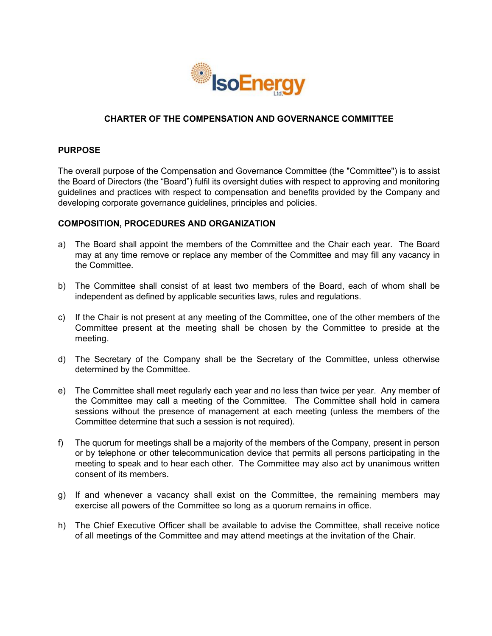

# **CHARTER'OF'THE'COMPENSATION'AND GOVERNANCE COMMITTEE**

# **PURPOSE**

The overall purpose of the Compensation and Governance Committee (the "Committee") is to assist the Board of Directors (the "Board") fulfil its oversight duties with respect to approving and monitoring guidelines and practices with respect to compensation and benefits provided by the Company and developing corporate governance guidelines, principles and policies.

## **COMPOSITION,'PROCEDURES'AND'ORGANIZATION**

- a) The Board shall appoint the members of the Committee and the Chair each year. The Board may at any time remove or replace any member of the Committee and may fill any vacancy in the Committee.
- b) The Committee shall consist of at least two members of the Board, each of whom shall be independent as defined by applicable securities laws, rules and regulations.
- c) If the Chair is not present at any meeting of the Committee, one of the other members of the Committee present at the meeting shall be chosen by the Committee to preside at the meeting.
- d) The Secretary of the Company shall be the Secretary of the Committee, unless otherwise determined by the Committee.
- e) The Committee shall meet regularly each year and no less than twice per year. Any member of the Committee may call a meeting of the Committee. The Committee shall hold in camera sessions without the presence of management at each meeting (unless the members of the Committee determine that such a session is not required).
- f) The quorum for meetings shall be a majority of the members of the Company, present in person or by telephone or other telecommunication device that permits all persons participating in the meeting to speak and to hear each other. The Committee may also act by unanimous written consent of its members.
- g) If and whenever a vacancy shall exist on the Committee, the remaining members may exercise all powers of the Committee so long as a quorum remains in office.
- h) The Chief Executive Officer shall be available to advise the Committee, shall receive notice of all meetings of the Committee and may attend meetings at the invitation of the Chair.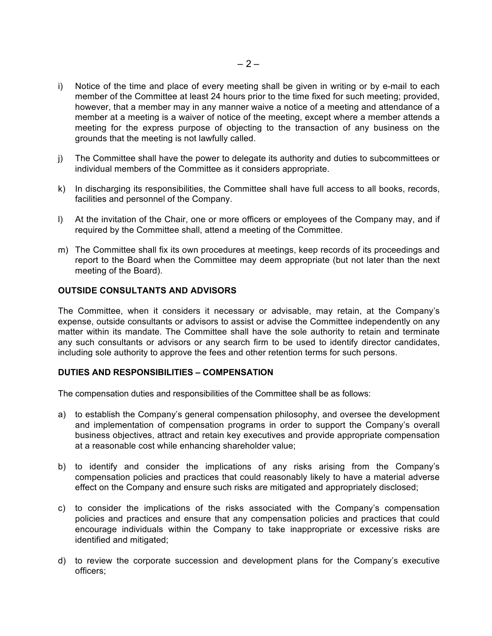- i) Notice of the time and place of every meeting shall be given in writing or by e-mail to each member of the Committee at least 24 hours prior to the time fixed for such meeting; provided, however, that a member may in any manner waive a notice of a meeting and attendance of a member at a meeting is a waiver of notice of the meeting, except where a member attends a meeting for the express purpose of objecting to the transaction of any business on the grounds that the meeting is not lawfully called.
- j) The Committee shall have the power to delegate its authority and duties to subcommittees or individual members of the Committee as it considers appropriate.
- k) In discharging its responsibilities, the Committee shall have full access to all books, records, facilities and personnel of the Company.
- l) At the invitation of the Chair, one or more officers or employees of the Company may, and if required by the Committee shall, attend a meeting of the Committee.
- m) The Committee shall fix its own procedures at meetings, keep records of its proceedings and report to the Board when the Committee may deem appropriate (but not later than the next meeting of the Board).

## **OUTSIDE'CONSULTANTS'AND'ADVISORS**

The Committee, when it considers it necessary or advisable, may retain, at the Company's expense, outside consultants or advisors to assist or advise the Committee independently on any matter within its mandate. The Committee shall have the sole authority to retain and terminate any such consultants or advisors or any search firm to be used to identify director candidates, including sole authority to approve the fees and other retention terms for such persons.

### **DUTIES'AND'RESPONSIBILITIES – COMPENSATION**

The compensation duties and responsibilities of the Committee shall be as follows:

- a) to establish the Company's general compensation philosophy, and oversee the development and implementation of compensation programs in order to support the Company's overall business objectives, attract and retain key executives and provide appropriate compensation at a reasonable cost while enhancing shareholder value;
- b) to identify and consider the implications of any risks arising from the Company's compensation policies and practices that could reasonably likely to have a material adverse effect on the Company and ensure such risks are mitigated and appropriately disclosed;
- c) to consider the implications of the risks associated with the Company's compensation policies and practices and ensure that any compensation policies and practices that could encourage individuals within the Company to take inappropriate or excessive risks are identified and mitigated;
- d) to review the corporate succession and development plans for the Company's executive officers: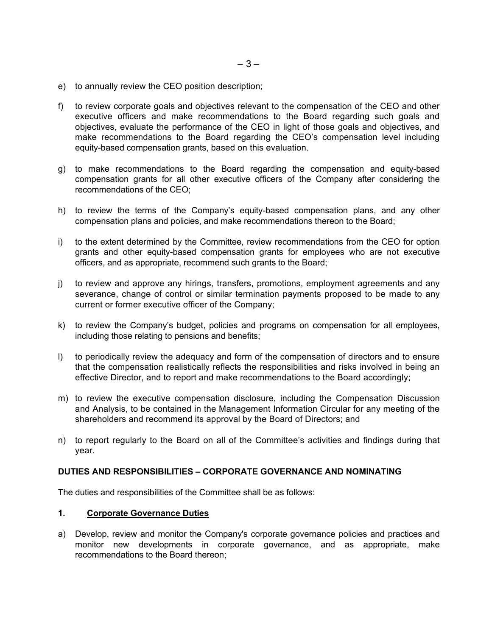- e) to annually review the CEO position description;
- f) to review corporate goals and objectives relevant to the compensation of the CEO and other executive officers and make recommendations to the Board regarding such goals and objectives, evaluate the performance of the CEO in light of those goals and objectives, and make recommendations to the Board regarding the CEO's compensation level including equity-based compensation grants, based on this evaluation.
- g) to make recommendations to the Board regarding the compensation and equity-based compensation grants for all other executive officers of the Company after considering the recommendations of the CEO;
- h) to review the terms of the Company's equity-based compensation plans, and any other compensation plans and policies, and make recommendations thereon to the Board;
- i) to the extent determined by the Committee, review recommendations from the CEO for option grants and other equity-based compensation grants for employees who are not executive officers, and as appropriate, recommend such grants to the Board;
- j) to review and approve any hirings, transfers, promotions, employment agreements and any severance, change of control or similar termination payments proposed to be made to any current or former executive officer of the Company;
- k) to review the Company's budget, policies and programs on compensation for all employees, including those relating to pensions and benefits;
- I) to periodically review the adequacy and form of the compensation of directors and to ensure that the compensation realistically reflects the responsibilities and risks involved in being an effective Director, and to report and make recommendations to the Board accordingly;
- m) to review the executive compensation disclosure, including the Compensation Discussion and Analysis, to be contained in the Management Information Circular for any meeting of the shareholders and recommend its approval by the Board of Directors; and
- n) to report regularly to the Board on all of the Committee's activities and findings during that year.

### **DUTIES'AND'RESPONSIBILITIES'– CORPORATE'GOVERNANCE'AND'NOMINATING**

The duties and responsibilities of the Committee shall be as follows:

### **1. Corporate Governance Duties**

a) Develop, review and monitor the Company's corporate governance policies and practices and monitor new developments in corporate governance, and as appropriate, make recommendations to the Board thereon: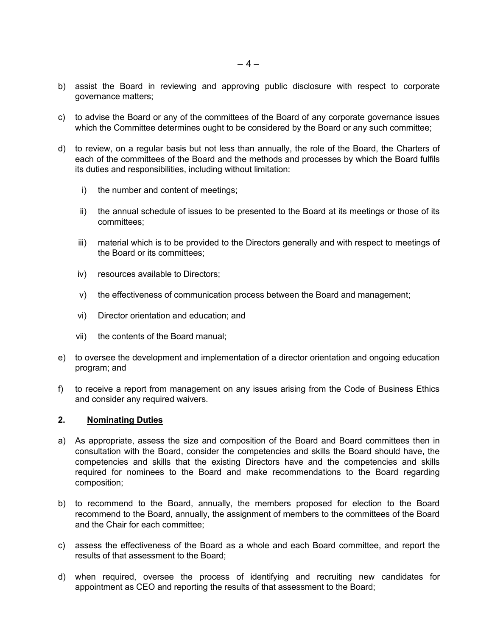- b) assist the Board in reviewing and approving public disclosure with respect to corporate governance matters;
- c) to advise the Board or any of the committees of the Board of any corporate governance issues which the Committee determines ought to be considered by the Board or any such committee;
- d) to review, on a regular basis but not less than annually, the role of the Board, the Charters of each of the committees of the Board and the methods and processes by which the Board fulfils its duties and responsibilities, including without limitation:
	- $i)$ the number and content of meetings;
	- ii) the annual schedule of issues to be presented to the Board at its meetings or those of its committees:
	- material which is to be provided to the Directors generally and with respect to meetings of iii) the Board or its committees:
	- iv) resources available to Directors;
	- v) the effectiveness of communication process between the Board and management;
	- vi) Director orientation and education; and
	- vii) the contents of the Board manual:
- e) to oversee the development and implementation of a director orientation and ongoing education program; and
- f) to receive a report from management on any issues arising from the Code of Business Ethics and consider any required waivers.

#### $2.$ **Nominating Duties**

- a) As appropriate, assess the size and composition of the Board and Board committees then in consultation with the Board, consider the competencies and skills the Board should have, the competencies and skills that the existing Directors have and the competencies and skills required for nominees to the Board and make recommendations to the Board regarding composition;
- b) to recommend to the Board, annually, the members proposed for election to the Board recommend to the Board, annually, the assignment of members to the committees of the Board and the Chair for each committee:
- c) assess the effectiveness of the Board as a whole and each Board committee, and report the results of that assessment to the Board;
- d) when required, oversee the process of identifying and recruiting new candidates for appointment as CEO and reporting the results of that assessment to the Board;